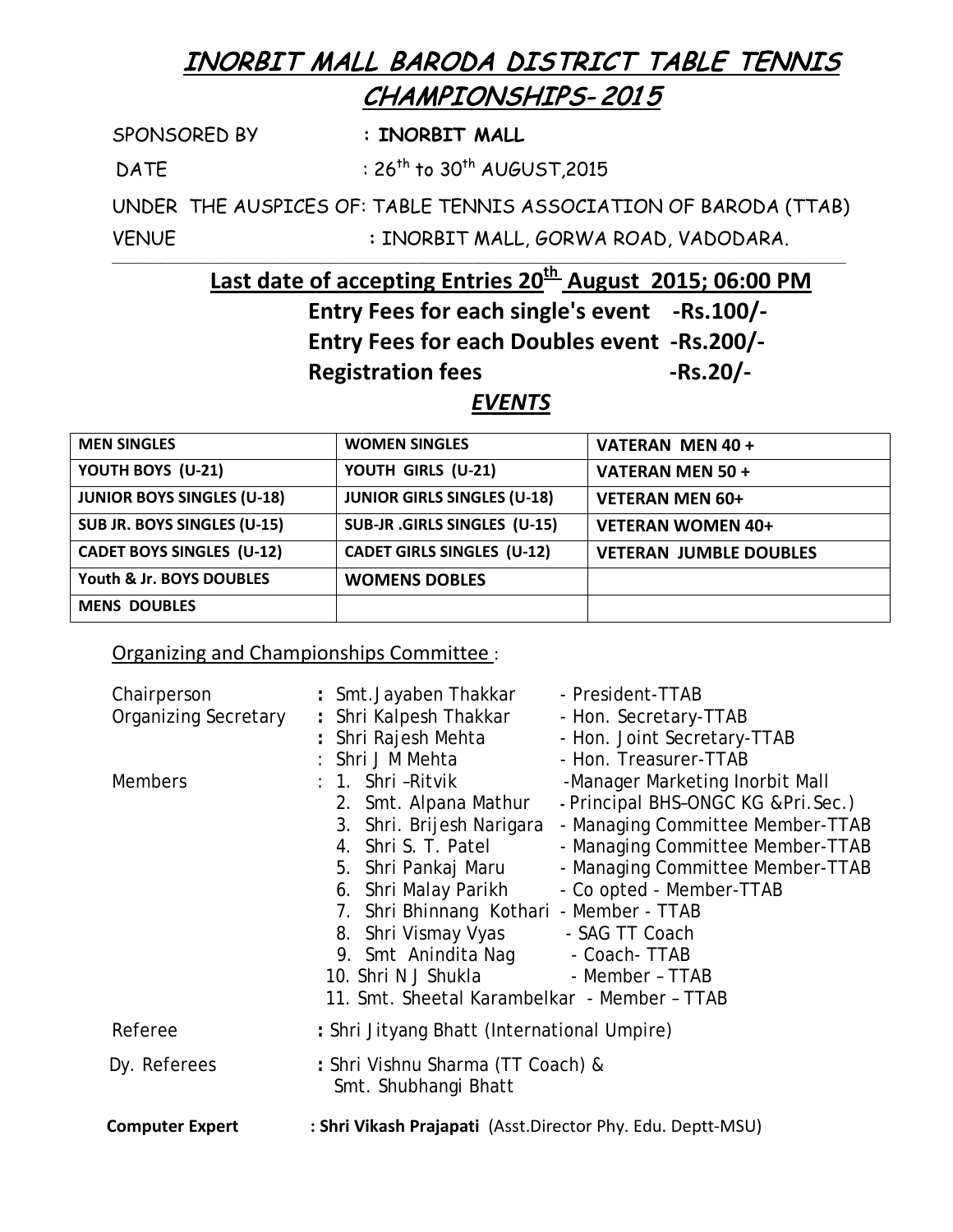## INORBIT MALL BARODA DISTRICT TABLE TENNIS CHAMPIONSHIPS- 201 5

SPONSORED BY **: INORBIT MALL** 

 $DATE$  :  $26<sup>th</sup>$  to  $30<sup>th</sup>$  AUGUST, 2015

UNDER THE AUSPICES OF: TABLE TENNIS ASSOCIATION OF BARODA (TTAB) VENUE **:** INORBIT MALL, GORWA ROAD, VADODARA.

**Last date of accepting Entries 20<sup>th</sup> August 2015; 06:00 PM** 

**Entry Fees for each single's event -Rs.100/-**

**Entry Fees for each Doubles event -Rs.200/-**

Registration fees **RS.20/-**

*EVENTS*

| <b>MEN SINGLES</b>                | <b>WOMEN SINGLES</b>                | VATERAN MEN 40 +              |
|-----------------------------------|-------------------------------------|-------------------------------|
| YOUTH BOYS (U-21)                 | YOUTH GIRLS (U-21)                  | VATERAN MEN 50 +              |
| <b>JUNIOR BOYS SINGLES (U-18)</b> | <b>JUNIOR GIRLS SINGLES (U-18)</b>  | <b>VETERAN MEN 60+</b>        |
| SUB JR. BOYS SINGLES (U-15)       | <b>SUB-JR .GIRLS SINGLES (U-15)</b> | <b>VETERAN WOMEN 40+</b>      |
| <b>CADET BOYS SINGLES (U-12)</b>  | <b>CADET GIRLS SINGLES (U-12)</b>   | <b>VETERAN JUMBLE DOUBLES</b> |
| Youth & Jr. BOYS DOUBLES          | <b>WOMENS DOBLES</b>                |                               |
| <b>MENS DOUBLES</b>               |                                     |                               |

## Organizing and Championships Committee :

| Chairperson<br><b>Organizing Secretary</b><br><b>Members</b> | : Smt.Jayaben Thakkar<br>- President-TTAB<br>: Shri Kalpesh Thakkar<br>- Hon. Secretary-TTAB<br>: Shri Rajesh Mehta<br>- Hon. Joint Secretary-TTAB<br>: Shri J M Mehta<br>- Hon. Treasurer-TTAB<br>: 1. Shri -Ritvik<br>-Manager Marketing Inorbit Mall<br>- Principal BHS-ONGC KG & Pri. Sec.)<br>2. Smt. Alpana Mathur<br>- Managing Committee Member-TTAB<br>3. Shri. Brijesh Narigara<br>4. Shri S. T. Patel<br>- Managing Committee Member-TTAB<br>- Managing Committee Member-TTAB<br>5. Shri Pankaj Maru<br>6. Shri Malay Parikh<br>- Co opted - Member-TTAB<br>7. Shri Bhinnang Kothari - Member - TTAB<br>8. Shri Vismay Vyas - SAG TT Coach<br>9. Smt Anindita Nag - Coach-TTAB<br>10. Shri N J Shukla - Member - TTAB |
|--------------------------------------------------------------|----------------------------------------------------------------------------------------------------------------------------------------------------------------------------------------------------------------------------------------------------------------------------------------------------------------------------------------------------------------------------------------------------------------------------------------------------------------------------------------------------------------------------------------------------------------------------------------------------------------------------------------------------------------------------------------------------------------------------------|
|                                                              | 11. Smt. Sheetal Karambelkar - Member - TTAB                                                                                                                                                                                                                                                                                                                                                                                                                                                                                                                                                                                                                                                                                     |
| Referee                                                      | : Shri Jityang Bhatt (International Umpire)                                                                                                                                                                                                                                                                                                                                                                                                                                                                                                                                                                                                                                                                                      |
| Dy. Referees                                                 | : Shri Vishnu Sharma (TT Coach) &<br>Smt. Shubhangi Bhatt                                                                                                                                                                                                                                                                                                                                                                                                                                                                                                                                                                                                                                                                        |
| <b>Computer Expert</b>                                       | : Shri Vikash Prajapati (Asst.Director Phy. Edu. Deptt-MSU)                                                                                                                                                                                                                                                                                                                                                                                                                                                                                                                                                                                                                                                                      |